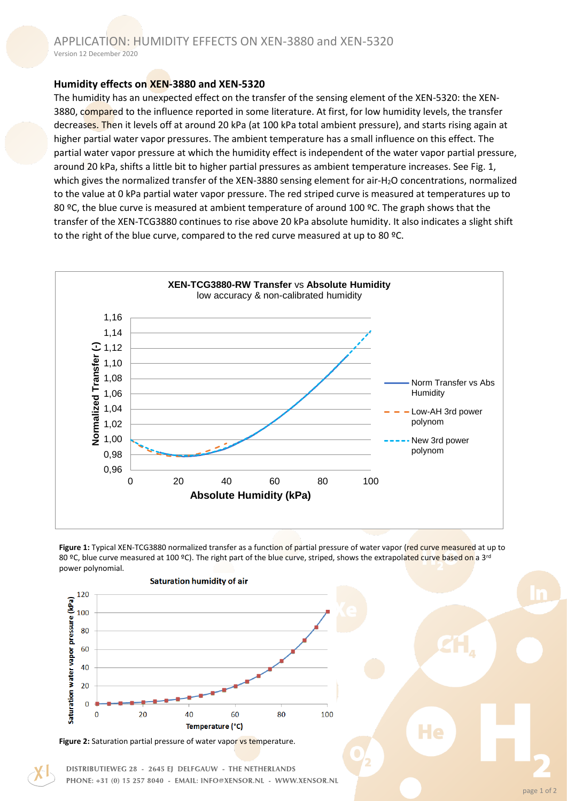## **Humidity effects on XEN-3880 and XEN-5320**

The humidity has an unexpected effect on the transfer of the sensing element of the XEN-5320: the XEN-3880, compared to the influence reported in some literature. At first, for low humidity levels, the transfer decreases. Then it levels off at around 20 kPa (at 100 kPa total ambient pressure), and starts rising again at higher partial water vapor pressures. The ambient temperature has a small influence on this effect. The partial water vapor pressure at which the humidity effect is independent of the water vapor partial pressure, around 20 kPa, shifts a little bit to higher partial pressures as ambient temperature increases. See Fig. 1, which gives the normalized transfer of the XEN-3880 sensing element for air-H<sub>2</sub>O concentrations, normalized to the value at 0 kPa partial water vapor pressure. The red striped curve is measured at temperatures up to 80 °C, the blue curve is measured at ambient temperature of around 100 °C. The graph shows that the transfer of the XEN-TCG3880 continues to rise above 20 kPa absolute humidity. It also indicates a slight shift to the right of the blue curve, compared to the red curve measured at up to 80 °C.



**Figure 1:** Typical XEN-TCG3880 normalized transfer as a function of partial pressure of water vapor (red curve measured at up to 80 °C, blue curve measured at 100 °C). The right part of the blue curve, striped, shows the extrapolated curve based on a 3<sup>rd</sup> power polynomial.



DISTRIBUTIEWEG 28 - 2645 EJ DELFGAUW - THE NETHERLANDS PHONE: +31 (0) 15 257 8040 - EMAIL: INFO@XENSOR.NL - WWW.XENSOR.NL